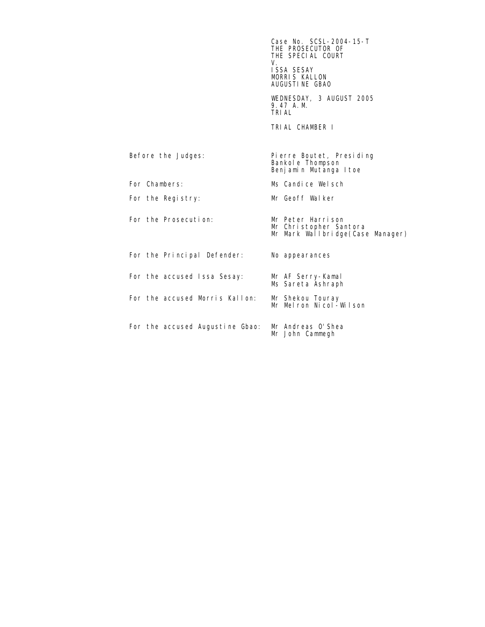$\sim$  Case No. SCSL-2004-15-T THE PROSECUTOR OF THE SPECIAL COURT<br>V. V. ISSA SESAY MORRIS KALLON AUGUSTINE GBAO WEDNESDAY, 3 AUGUST 2005 9.47 A.M. TRIAL TRIAL CHAMBER I Before the Judges: Pierre Boutet, Presiding Bankole Thompson Benjamin Mutanga Itoe For Chambers: Ms Candice Welsch For the Registry: Mr Geoff Walker For the Prosecution: Mr Peter Harrison Mr Christopher Santora Mr Mark Wallbridge(Case Manager) For the Principal Defender: No appearances For the accused Issa Sesay: Mr AF Serry-Kamal<br>Ms Sareta Ashraph For the accused Morris Kallon: Mr Shekou Touray<br>Mr Melron Nicol-Wilson For the accused Augustine Gbao: Mr Andreas O'Shea<br>Mr John Cammegh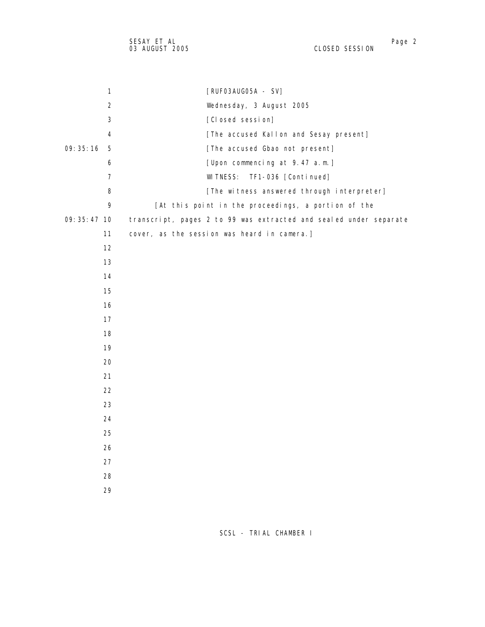| $\mathbf{1}$   | [RUFO3AUGO5A - SV]                                                |
|----------------|-------------------------------------------------------------------|
| $\overline{2}$ | Wednesday, 3 August 2005                                          |
| 3              | [Closed session]                                                  |
| 4              | [The accused Kallon and Sesay present]                            |
| 09:35:16<br>5  | [The accused Gbao not present]                                    |
| 6              | [Upon commencing at 9.47 a.m.]                                    |
| $\overline{7}$ | TF1-036 [Continued]<br>WI TNESS:                                  |
| 8              | [The witness answered through interpreter]                        |
| 9              | [At this point in the proceedings, a portion of the               |
| 09: 35: 47 10  | transcript, pages 2 to 99 was extracted and sealed under separate |
| 11             | cover, as the session was heard in camera.]                       |
| 12             |                                                                   |
| 13             |                                                                   |
| 14             |                                                                   |
| 15             |                                                                   |
| 16             |                                                                   |
| 17             |                                                                   |
| 18             |                                                                   |
| 19             |                                                                   |
| 20             |                                                                   |
| 21             |                                                                   |
| 22             |                                                                   |
| 23             |                                                                   |
| 24             |                                                                   |
| 25             |                                                                   |
| 26             |                                                                   |
| 27             |                                                                   |
| 28             |                                                                   |
| 29             |                                                                   |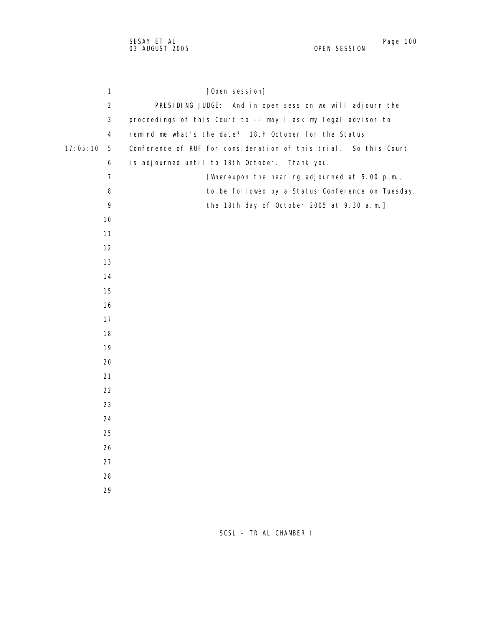| 1              | [Open session]                                                   |
|----------------|------------------------------------------------------------------|
| $\overline{2}$ | PRESIDING JUDGE: And in open session we will adjourn the         |
| $\mathbf{3}$   | proceedings of this Court to -- may I ask my legal advisor to    |
| 4              | remind me what's the date? 18th October for the Status           |
| 17:05:10<br>5  | Conference of RUF for consideration of this trial. So this Court |
| 6              | is adjourned until to 18th October. Thank you.                   |
| $\overline{7}$ | [Whereupon the hearing adjourned at 5.00 p.m.,                   |
| 8              | to be followed by a Status Conference on Tuesday,                |
| 9              | the 18th day of October 2005 at 9.30 a.m.]                       |
| 10             |                                                                  |
| 11             |                                                                  |
| 12             |                                                                  |
| 13             |                                                                  |
| 14             |                                                                  |
| 15             |                                                                  |
| 16             |                                                                  |
| 17             |                                                                  |
| 18             |                                                                  |
| 19             |                                                                  |
| 20             |                                                                  |
| 21             |                                                                  |
| 22             |                                                                  |
| 23             |                                                                  |
| 24             |                                                                  |
| 25             |                                                                  |
| 26             |                                                                  |
| 27             |                                                                  |
| 28             |                                                                  |
| 29             |                                                                  |